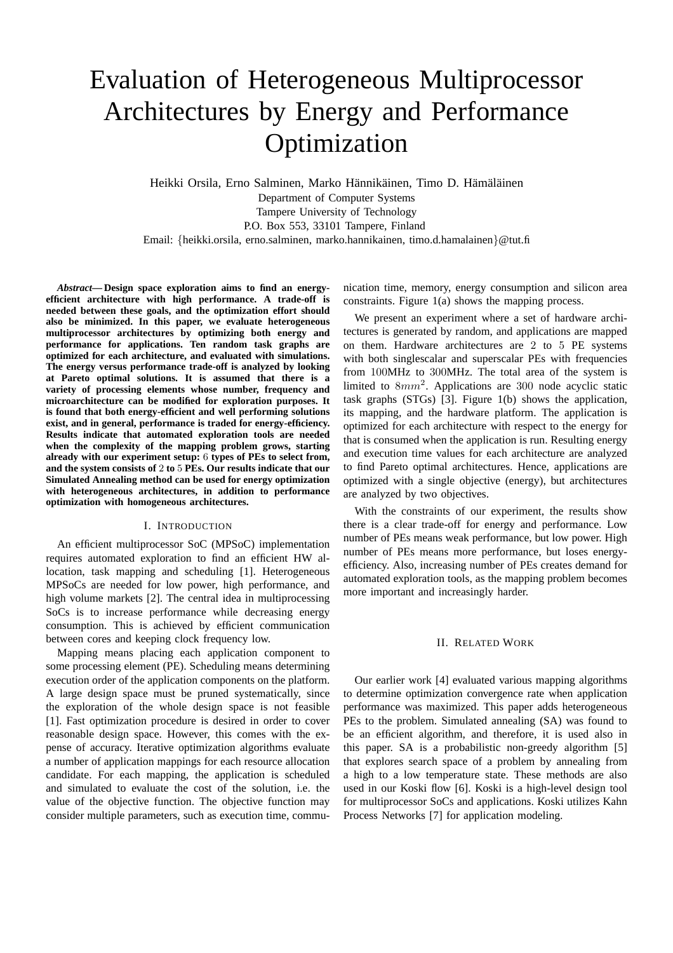# Evaluation of Heterogeneous Multiprocessor Architectures by Energy and Performance Optimization

Heikki Orsila, Erno Salminen, Marko Hännikäinen, Timo D. Hämäläinen Department of Computer Systems Tampere University of Technology P.O. Box 553, 33101 Tampere, Finland Email: {heikki.orsila, erno.salminen, marko.hannikainen, timo.d.hamalainen}@tut.fi

*Abstract***— Design space exploration aims to find an energyefficient architecture with high performance. A trade-off is needed between these goals, and the optimization effort should also be minimized. In this paper, we evaluate heterogeneous multiprocessor architectures by optimizing both energy and performance for applications. Ten random task graphs are optimized for each architecture, and evaluated with simulations. The energy versus performance trade-off is analyzed by looking at Pareto optimal solutions. It is assumed that there is a variety of processing elements whose number, frequency and microarchitecture can be modified for exploration purposes. It is found that both energy-efficient and well performing solutions exist, and in general, performance is traded for energy-efficiency. Results indicate that automated exploration tools are needed when the complexity of the mapping problem grows, starting already with our experiment setup:** 6 **types of PEs to select from, and the system consists of** 2 **to** 5 **PEs. Our results indicate that our Simulated Annealing method can be used for energy optimization with heterogeneous architectures, in addition to performance optimization with homogeneous architectures.**

#### I. INTRODUCTION

An efficient multiprocessor SoC (MPSoC) implementation requires automated exploration to find an efficient HW allocation, task mapping and scheduling [1]. Heterogeneous MPSoCs are needed for low power, high performance, and high volume markets [2]. The central idea in multiprocessing SoCs is to increase performance while decreasing energy consumption. This is achieved by efficient communication between cores and keeping clock frequency low.

Mapping means placing each application component to some processing element (PE). Scheduling means determining execution order of the application components on the platform. A large design space must be pruned systematically, since the exploration of the whole design space is not feasible [1]. Fast optimization procedure is desired in order to cover reasonable design space. However, this comes with the expense of accuracy. Iterative optimization algorithms evaluate a number of application mappings for each resource allocation candidate. For each mapping, the application is scheduled and simulated to evaluate the cost of the solution, i.e. the value of the objective function. The objective function may consider multiple parameters, such as execution time, communication time, memory, energy consumption and silicon area constraints. Figure 1(a) shows the mapping process.

We present an experiment where a set of hardware architectures is generated by random, and applications are mapped on them. Hardware architectures are 2 to 5 PE systems with both singlescalar and superscalar PEs with frequencies from 100MHz to 300MHz. The total area of the system is limited to  $8mm^2$ . Applications are 300 node acyclic static task graphs (STGs) [3]. Figure 1(b) shows the application, its mapping, and the hardware platform. The application is optimized for each architecture with respect to the energy for that is consumed when the application is run. Resulting energy and execution time values for each architecture are analyzed to find Pareto optimal architectures. Hence, applications are optimized with a single objective (energy), but architectures are analyzed by two objectives.

With the constraints of our experiment, the results show there is a clear trade-off for energy and performance. Low number of PEs means weak performance, but low power. High number of PEs means more performance, but loses energyefficiency. Also, increasing number of PEs creates demand for automated exploration tools, as the mapping problem becomes more important and increasingly harder.

# II. RELATED WORK

Our earlier work [4] evaluated various mapping algorithms to determine optimization convergence rate when application performance was maximized. This paper adds heterogeneous PEs to the problem. Simulated annealing (SA) was found to be an efficient algorithm, and therefore, it is used also in this paper. SA is a probabilistic non-greedy algorithm [5] that explores search space of a problem by annealing from a high to a low temperature state. These methods are also used in our Koski flow [6]. Koski is a high-level design tool for multiprocessor SoCs and applications. Koski utilizes Kahn Process Networks [7] for application modeling.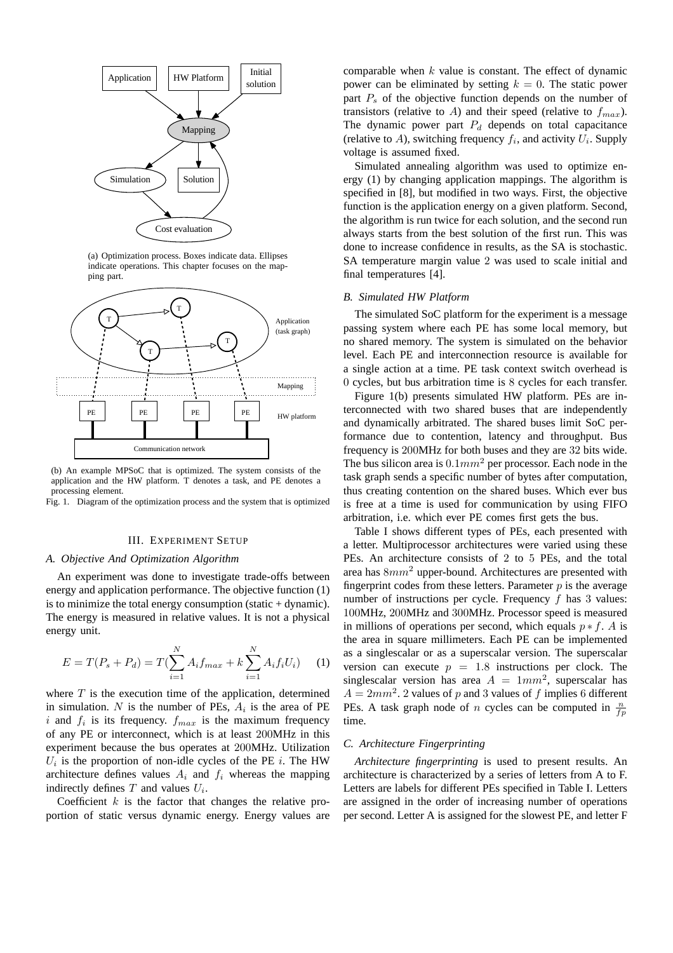

(a) Optimization process. Boxes indicate data. Ellipses indicate operations. This chapter focuses on the mapping part.



(b) An example MPSoC that is optimized. The system consists of the application and the HW platform. T denotes a task, and PE denotes a processing element.

Fig. 1. Diagram of the optimization process and the system that is optimized

# III. EXPERIMENT SETUP

# *A. Objective And Optimization Algorithm*

An experiment was done to investigate trade-offs between energy and application performance. The objective function (1) is to minimize the total energy consumption (static  $+$  dynamic). The energy is measured in relative values. It is not a physical energy unit.

$$
E = T(P_s + P_d) = T(\sum_{i=1}^{N} A_i f_{max} + k \sum_{i=1}^{N} A_i f_i U_i)
$$
 (1)

where  $T$  is the execution time of the application, determined in simulation. N is the number of PEs,  $A_i$  is the area of PE i and  $f_i$  is its frequency.  $f_{max}$  is the maximum frequency of any PE or interconnect, which is at least 200MHz in this experiment because the bus operates at 200MHz. Utilization  $U_i$  is the proportion of non-idle cycles of the PE i. The HW architecture defines values  $A_i$  and  $f_i$  whereas the mapping indirectly defines  $T$  and values  $U_i$ .

Coefficient  $k$  is the factor that changes the relative proportion of static versus dynamic energy. Energy values are comparable when  $k$  value is constant. The effect of dynamic power can be eliminated by setting  $k = 0$ . The static power part  $P_s$  of the objective function depends on the number of transistors (relative to A) and their speed (relative to  $f_{max}$ ). The dynamic power part  $P_d$  depends on total capacitance (relative to A), switching frequency  $f_i$ , and activity  $U_i$ . Supply voltage is assumed fixed.

Simulated annealing algorithm was used to optimize energy (1) by changing application mappings. The algorithm is specified in [8], but modified in two ways. First, the objective function is the application energy on a given platform. Second, the algorithm is run twice for each solution, and the second run always starts from the best solution of the first run. This was done to increase confidence in results, as the SA is stochastic. SA temperature margin value 2 was used to scale initial and final temperatures [4].

# *B. Simulated HW Platform*

The simulated SoC platform for the experiment is a message passing system where each PE has some local memory, but no shared memory. The system is simulated on the behavior level. Each PE and interconnection resource is available for a single action at a time. PE task context switch overhead is 0 cycles, but bus arbitration time is 8 cycles for each transfer.

Figure 1(b) presents simulated HW platform. PEs are interconnected with two shared buses that are independently and dynamically arbitrated. The shared buses limit SoC performance due to contention, latency and throughput. Bus frequency is 200MHz for both buses and they are 32 bits wide. The bus silicon area is  $0.1mm^2$  per processor. Each node in the task graph sends a specific number of bytes after computation, thus creating contention on the shared buses. Which ever bus is free at a time is used for communication by using FIFO arbitration, i.e. which ever PE comes first gets the bus.

Table I shows different types of PEs, each presented with a letter. Multiprocessor architectures were varied using these PEs. An architecture consists of 2 to 5 PEs, and the total area has  $8mm^2$  upper-bound. Architectures are presented with fingerprint codes from these letters. Parameter  $p$  is the average number of instructions per cycle. Frequency  $f$  has 3 values: 100MHz, 200MHz and 300MHz. Processor speed is measured in millions of operations per second, which equals  $p * f$ . A is the area in square millimeters. Each PE can be implemented as a singlescalar or as a superscalar version. The superscalar version can execute  $p = 1.8$  instructions per clock. The singlescalar version has area  $A = 1mm^2$ , superscalar has  $A = 2mm^2$ . 2 values of p and 3 values of f implies 6 different PEs. A task graph node of *n* cycles can be computed in  $\frac{n}{fp}$ time.

### *C. Architecture Fingerprinting*

*Architecture fingerprinting* is used to present results. An architecture is characterized by a series of letters from A to F. Letters are labels for different PEs specified in Table I. Letters are assigned in the order of increasing number of operations per second. Letter A is assigned for the slowest PE, and letter F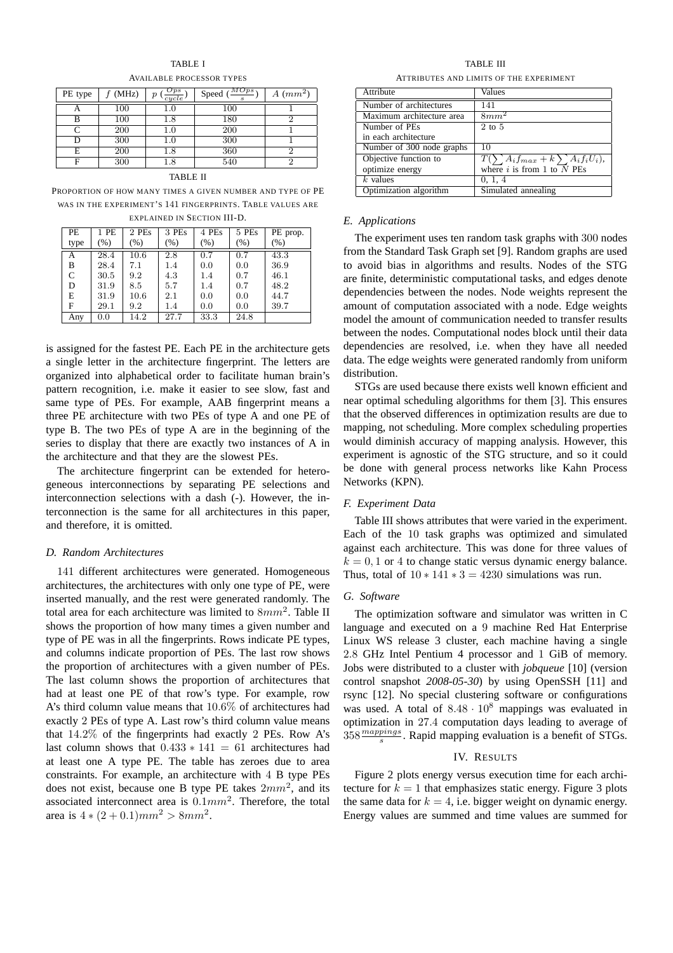| PE type | (MHz) | $_{Ops}$<br>$\boldsymbol{p}$<br>$\overline{cycle}$ | MDps<br>Speed | $A$ (mm <sup>2</sup> ) |
|---------|-------|----------------------------------------------------|---------------|------------------------|
|         | 100   | $1.0\,$                                            | 100           |                        |
| B       | 100   | $^{1.8}$                                           | 180           | ິ                      |
|         | 200   | $1.0\,$                                            | 200           |                        |
| D       | 300   | $1.0\,$                                            | 300           |                        |
| E       | 200   | $^{1.8}$                                           | 360           | ິ                      |
| F       | 300   |                                                    | 540           |                        |

TABLE I AVAILABLE PROCESSOR TYPES

TABLE II

PROPORTION OF HOW MANY TIMES A GIVEN NUMBER AND TYPE OF PE WAS IN THE EXPERIMENT'S 141 FINGERPRINTS. TABLE VALUES ARE

| PE           | 1 PE    | 2 PEs   | 3 PEs   | 4 PEs   | 5 PEs   | PE prop. |  |  |
|--------------|---------|---------|---------|---------|---------|----------|--|--|
| type         | $(\% )$ | $(\% )$ | (% )    | (% )    | $(\% )$ | (% )     |  |  |
| А            | 28.4    | 10.6    | 2.8     | 0.7     | 0.7     | 43.3     |  |  |
| B            | 28.4    | 7.1     | 1.4     | 0.0     | 0.0     | 36.9     |  |  |
| $\mathsf{C}$ | 30.5    | 9.2     | 4.3     | 1.4     | 0.7     | 46.1     |  |  |
| D            | 31.9    | 8.5     | 5.7     | $1.4\,$ | 0.7     | 48.2     |  |  |
| E            | 31.9    | 10.6    | 2.1     | 0.0     | 0.0     | 44.7     |  |  |
| F            | 29.1    | 9.2     | $1.4\,$ | 0.0     | 0.0     | 39.7     |  |  |
| Any          | 0.0     | 14.2    | 27.7    | 33.3    | 24.8    |          |  |  |

EXPLAINED IN SECTION III-D.

is assigned for the fastest PE. Each PE in the architecture gets a single letter in the architecture fingerprint. The letters are organized into alphabetical order to facilitate human brain's pattern recognition, i.e. make it easier to see slow, fast and same type of PEs. For example, AAB fingerprint means a three PE architecture with two PEs of type A and one PE of type B. The two PEs of type A are in the beginning of the series to display that there are exactly two instances of A in the architecture and that they are the slowest PEs.

The architecture fingerprint can be extended for heterogeneous interconnections by separating PE selections and interconnection selections with a dash (-). However, the interconnection is the same for all architectures in this paper, and therefore, it is omitted.

# *D. Random Architectures*

141 different architectures were generated. Homogeneous architectures, the architectures with only one type of PE, were inserted manually, and the rest were generated randomly. The total area for each architecture was limited to  $8mm^2$ . Table II shows the proportion of how many times a given number and type of PE was in all the fingerprints. Rows indicate PE types, and columns indicate proportion of PEs. The last row shows the proportion of architectures with a given number of PEs. The last column shows the proportion of architectures that had at least one PE of that row's type. For example, row A's third column value means that 10.6% of architectures had exactly 2 PEs of type A. Last row's third column value means that 14.2% of the fingerprints had exactly 2 PEs. Row A's last column shows that 0.433 ∗ 141 = 61 architectures had at least one A type PE. The table has zeroes due to area constraints. For example, an architecture with 4 B type PEs does not exist, because one B type PE takes  $2mm^2$ , and its associated interconnect area is  $0.1mm^2$ . Therefore, the total area is  $4 * (2 + 0.1)mm^2 > 8mm^2$ .

TABLE III ATTRIBUTES AND LIMITS OF THE EXPERIMENT

| Attribute                 | Values                                                                                  |
|---------------------------|-----------------------------------------------------------------------------------------|
| Number of architectures   | 141                                                                                     |
| Maximum architecture area | $8mm^2$                                                                                 |
| Number of PEs             | $2$ to $5$                                                                              |
| in each architecture      |                                                                                         |
| Number of 300 node graphs | 10                                                                                      |
| Objective function to     | $T(\sum A_i f_{max} + k \sum A_i f_i U_i),$<br>where <i>i</i> is from 1 to <i>N</i> PEs |
| optimize energy           |                                                                                         |
| $k$ values                | 0, 1, 4                                                                                 |
| Optimization algorithm    | Simulated annealing                                                                     |

### *E. Applications*

The experiment uses ten random task graphs with 300 nodes from the Standard Task Graph set [9]. Random graphs are used to avoid bias in algorithms and results. Nodes of the STG are finite, deterministic computational tasks, and edges denote dependencies between the nodes. Node weights represent the amount of computation associated with a node. Edge weights model the amount of communication needed to transfer results between the nodes. Computational nodes block until their data dependencies are resolved, i.e. when they have all needed data. The edge weights were generated randomly from uniform distribution.

STGs are used because there exists well known efficient and near optimal scheduling algorithms for them [3]. This ensures that the observed differences in optimization results are due to mapping, not scheduling. More complex scheduling properties would diminish accuracy of mapping analysis. However, this experiment is agnostic of the STG structure, and so it could be done with general process networks like Kahn Process Networks (KPN).

# *F. Experiment Data*

Table III shows attributes that were varied in the experiment. Each of the 10 task graphs was optimized and simulated against each architecture. This was done for three values of  $k = 0, 1$  or 4 to change static versus dynamic energy balance. Thus, total of  $10 * 141 * 3 = 4230$  simulations was run.

# *G. Software*

The optimization software and simulator was written in C language and executed on a 9 machine Red Hat Enterprise Linux WS release 3 cluster, each machine having a single 2.8 GHz Intel Pentium 4 processor and 1 GiB of memory. Jobs were distributed to a cluster with *jobqueue* [10] (version control snapshot *2008-05-30*) by using OpenSSH [11] and rsync [12]. No special clustering software or configurations was used. A total of  $8.48 \cdot 10^8$  mappings was evaluated in optimization in 27.4 computation days leading to average of  $358 \frac{mapping}{s}$ . Rapid mapping evaluation is a benefit of STGs.

# IV. RESULTS

Figure 2 plots energy versus execution time for each architecture for  $k = 1$  that emphasizes static energy. Figure 3 plots the same data for  $k = 4$ , i.e. bigger weight on dynamic energy. Energy values are summed and time values are summed for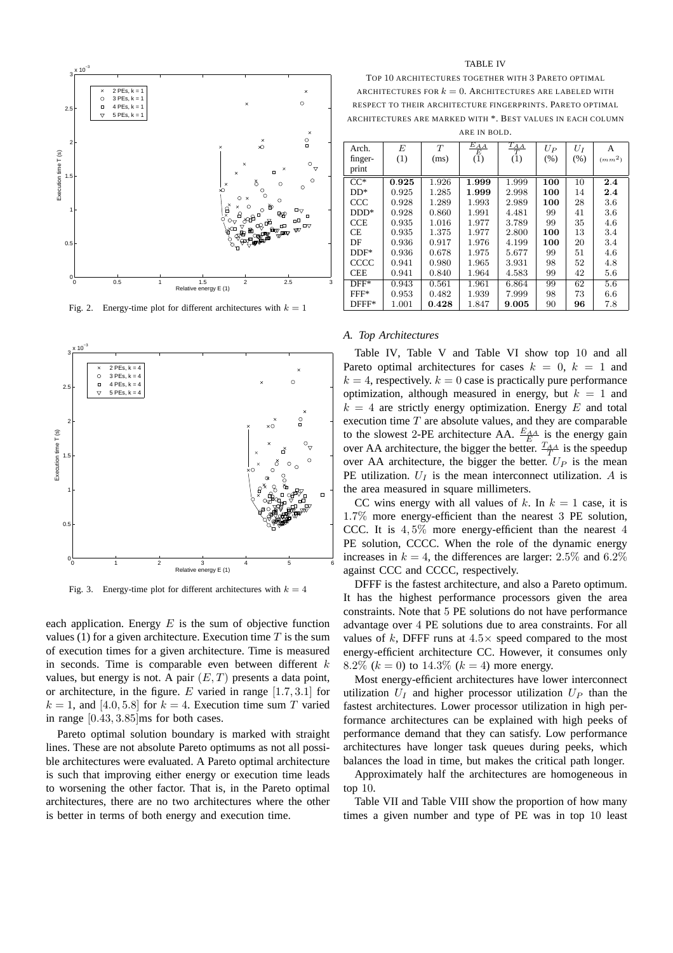

Fig. 2. Energy-time plot for different architectures with  $k = 1$ 



Fig. 3. Energy-time plot for different architectures with  $k = 4$ 

each application. Energy  $E$  is the sum of objective function values (1) for a given architecture. Execution time  $T$  is the sum of execution times for a given architecture. Time is measured in seconds. Time is comparable even between different  $k$ values, but energy is not. A pair  $(E, T)$  presents a data point, or architecture, in the figure. E varied in range  $[1.7, 3.1]$  for  $k = 1$ , and [4.0, 5.8] for  $k = 4$ . Execution time sum T varied in range [0.43, 3.85]ms for both cases.

Pareto optimal solution boundary is marked with straight lines. These are not absolute Pareto optimums as not all possible architectures were evaluated. A Pareto optimal architecture is such that improving either energy or execution time leads to worsening the other factor. That is, in the Pareto optimal architectures, there are no two architectures where the other is better in terms of both energy and execution time.

#### TABLE IV

TOP 10 ARCHITECTURES TOGETHER WITH 3 PARETO OPTIMAL ARCHITECTURES FOR  $k = 0$ . ARCHITECTURES ARE LABELED WITH RESPECT TO THEIR ARCHITECTURE FINGERPRINTS. PARETO OPTIMAL ARCHITECTURES ARE MARKED WITH \*. BEST VALUES IN EACH COLUMN ARE IN BOLD.

| Arch.      | E     | T     | $\frac{E_{AA}}{E}$ | $\frac{T_{AA}}{T}$ | $U_P$ | $U_I$ | А        |
|------------|-------|-------|--------------------|--------------------|-------|-------|----------|
| finger-    | (1)   | (ms)  | (1)                | (1)                | (% )  | (% )  | $(mm^2)$ |
| print      |       |       |                    |                    |       |       |          |
| $CC^*$     | 0.925 | 1.926 | 1.999              | 1.999              | 100   | 10    | 2.4      |
| $DD*$      | 0.925 | 1.285 | 1.999              | 2.998              | 100   | 14    | 2.4      |
| CCC        | 0.928 | 1.289 | 1.993              | 2.989              | 100   | 28    | 3.6      |
| $DDD*$     | 0.928 | 0.860 | 1.991              | 4.481              | 99    | 41    | 3.6      |
| <b>CCE</b> | 0.935 | 1.016 | 1.977              | 3.789              | 99    | 35    | 4.6      |
| <b>CE</b>  | 0.935 | 1.375 | 1.977              | 2.800              | 100   | 13    | 3.4      |
| DF         | 0.936 | 0.917 | 1.976              | 4.199              | 100   | 20    | 3.4      |
| $DDF*$     | 0.936 | 0.678 | 1.975              | 5.677              | 99    | 51    | 4.6      |
| CCCC       | 0.941 | 0.980 | 1.965              | 3.931              | 98    | 52    | 4.8      |
| <b>CEE</b> | 0.941 | 0.840 | 1.964              | 4.583              | 99    | 42    | 5.6      |
| $DFF*$     | 0.943 | 0.561 | 1.961              | 6.864              | 99    | 62    | 5.6      |
| $FFF*$     | 0.953 | 0.482 | 1.939              | 7.999              | 98    | 73    | 6.6      |
| $DFFF*$    | 1.001 | 0.428 | 1.847              | 9.005              | 90    | 96    | 7.8      |

#### *A. Top Architectures*

Table IV, Table V and Table VI show top 10 and all Pareto optimal architectures for cases  $k = 0, k = 1$  and  $k = 4$ , respectively.  $k = 0$  case is practically pure performance optimization, although measured in energy, but  $k = 1$  and  $k = 4$  are strictly energy optimization. Energy E and total execution time  $T$  are absolute values, and they are comparable to the slowest 2-PE architecture AA.  $\frac{E_{AA}}{E_{A}}$  is the energy gain over AA architecture, the bigger the better.  $\frac{T_{AA}}{T}$  is the speedup over AA architecture, the bigger the better.  $U_P$  is the mean PE utilization.  $U_I$  is the mean interconnect utilization. A is the area measured in square millimeters.

CC wins energy with all values of k. In  $k = 1$  case, it is 1.7% more energy-efficient than the nearest 3 PE solution, CCC. It is  $4.5\%$  more energy-efficient than the nearest 4 PE solution, CCCC. When the role of the dynamic energy increases in  $k = 4$ , the differences are larger: 2.5% and 6.2% against CCC and CCCC, respectively.

DFFF is the fastest architecture, and also a Pareto optimum. It has the highest performance processors given the area constraints. Note that 5 PE solutions do not have performance advantage over 4 PE solutions due to area constraints. For all values of k, DFFF runs at  $4.5\times$  speed compared to the most energy-efficient architecture CC. However, it consumes only 8.2%  $(k = 0)$  to 14.3%  $(k = 4)$  more energy.

Most energy-efficient architectures have lower interconnect utilization  $U_I$  and higher processor utilization  $U_P$  than the fastest architectures. Lower processor utilization in high performance architectures can be explained with high peeks of performance demand that they can satisfy. Low performance architectures have longer task queues during peeks, which balances the load in time, but makes the critical path longer.

Approximately half the architectures are homogeneous in top 10.

Table VII and Table VIII show the proportion of how many times a given number and type of PE was in top 10 least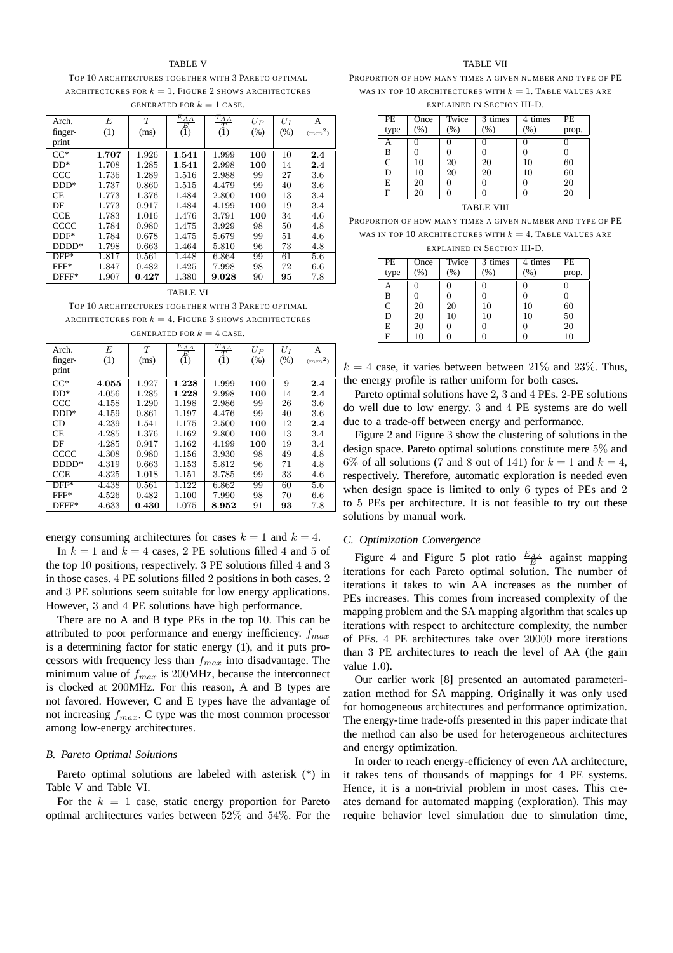#### TABLE V

TOP 10 ARCHITECTURES TOGETHER WITH 3 PARETO OPTIMAL ARCHITECTURES FOR  $k = 1$ . FIGURE 2 SHOWS ARCHITECTURES GENERATED FOR  $k = 1$  CASE.

| Arch.      | E     | T     | $\frac{E_{AA}}{E}$ | $\frac{T_{AA}}{T}$ | $U_P$ | $U_I$ | A        |
|------------|-------|-------|--------------------|--------------------|-------|-------|----------|
| finger-    | (1)   | (ms)  | (1)                | (1)                | (% )  | (% )  | $(mm^2)$ |
| print      |       |       |                    |                    |       |       |          |
| $CC^*$     | 1.707 | 1.926 | 1.541              | 1.999              | 100   | 10    | 2.4      |
| $DD*$      | 1.708 | 1.285 | 1.541              | 2.998              | 100   | 14    | 2.4      |
| CCC        | 1.736 | 1.289 | 1.516              | 2.988              | 99    | 27    | 3.6      |
| $DDD*$     | 1.737 | 0.860 | 1.515              | 4.479              | 99    | 40    | 3.6      |
| CE.        | 1.773 | 1.376 | 1.484              | 2.800              | 100   | 13    | 3.4      |
| DF         | 1.773 | 0.917 | 1.484              | 4.199              | 100   | 19    | 3.4      |
| <b>CCE</b> | 1.783 | 1.016 | 1.476              | 3.791              | 100   | 34    | 4.6      |
| CCCC       | 1.784 | 0.980 | 1.475              | 3.929              | 98    | 50    | 4.8      |
| $DDF*$     | 1.784 | 0.678 | 1.475              | 5.679              | 99    | 51    | 4.6      |
| $DDDD*$    | 1.798 | 0.663 | 1.464              | 5.810              | 96    | 73    | 4.8      |
| $DFF^*$    | 1.817 | 0.561 | 1.448              | 6.864              | 99    | 61    | 5.6      |
| FFF*       | 1.847 | 0.482 | 1.425              | 7.998              | 98    | 72    | 6.6      |
| $DFFF*$    | 1.907 | 0.427 | 1.380              | 9.028              | 90    | 95    | 7.8      |

# TABLE VI TOP 10 ARCHITECTURES TOGETHER WITH 3 PARETO OPTIMAL

ARCHITECTURES FOR  $k = 4$ . FIGURE 3 SHOWS ARCHITECTURES GENERATED FOR  $k = 4$  CASE.

| Arch.             | E     | T     | $\frac{E_{AA}}{E}$ | $\frac{T_{AA}}{T}$ | $U_P$ | $U_I$ | А        |
|-------------------|-------|-------|--------------------|--------------------|-------|-------|----------|
| finger-           | (1)   | (ms)  | (1)                | (1)                | (% )  | (% )  | $(mm^2)$ |
| print             |       |       |                    |                    |       |       |          |
| $\overline{CC^*}$ | 4.055 | 1.927 | 1.228              | 1.999              | 100   | 9     | 2.4      |
| $DD*$             | 4.056 | 1.285 | 1.228              | 2.998              | 100   | 14    | 2.4      |
| CCC               | 4.158 | 1.290 | 1.198              | 2.986              | 99    | 26    | 3.6      |
| $DDD*$            | 4.159 | 0.861 | 1.197              | 4.476              | 99    | 40    | 3.6      |
| CD                | 4.239 | 1.541 | 1.175              | 2.500              | 100   | 12    | 2.4      |
| <b>CE</b>         | 4.285 | 1.376 | 1.162              | 2.800              | 100   | 13    | 3.4      |
| DF                | 4.285 | 0.917 | 1.162              | 4.199              | 100   | 19    | 3.4      |
| CCCC              | 4.308 | 0.980 | 1.156              | 3.930              | 98    | 49    | 4.8      |
| $DDDD*$           | 4.319 | 0.663 | 1.153              | 5.812              | 96    | 71    | 4.8      |
| <b>CCE</b>        | 4.325 | 1.018 | 1.151              | 3.785              | 99    | 33    | 4.6      |
| $DFF*$            | 4.438 | 0.561 | 1.122              | 6.862              | 99    | 60    | 5.6      |
| $FFF*$            | 4.526 | 0.482 | 1.100              | 7.990              | 98    | 70    | 6.6      |
| $DFFF*$           | 4.633 | 0.430 | 1.075              | 8.952              | 91    | 93    | 7.8      |

energy consuming architectures for cases  $k = 1$  and  $k = 4$ .

In  $k = 1$  and  $k = 4$  cases, 2 PE solutions filled 4 and 5 of the top 10 positions, respectively. 3 PE solutions filled 4 and 3 in those cases. 4 PE solutions filled 2 positions in both cases. 2 and 3 PE solutions seem suitable for low energy applications. However, 3 and 4 PE solutions have high performance.

There are no A and B type PEs in the top 10. This can be attributed to poor performance and energy inefficiency.  $f_{max}$ is a determining factor for static energy (1), and it puts processors with frequency less than  $f_{max}$  into disadvantage. The minimum value of  $f_{max}$  is 200MHz, because the interconnect is clocked at 200MHz. For this reason, A and B types are not favored. However, C and E types have the advantage of not increasing  $f_{max}$ . C type was the most common processor among low-energy architectures.

#### *B. Pareto Optimal Solutions*

Pareto optimal solutions are labeled with asterisk (\*) in Table V and Table VI.

For the  $k = 1$  case, static energy proportion for Pareto optimal architectures varies between 52% and 54%. For the

#### TABLE VII

PROPORTION OF HOW MANY TIMES A GIVEN NUMBER AND TYPE OF PE WAS IN TOP 10 ARCHITECTURES WITH  $k = 1$ . TABLE VALUES ARE EXPLAINED IN SECTION III-D.

| PE            | Once   | Twice | 3 times | 4 times          | PE.   |
|---------------|--------|-------|---------|------------------|-------|
| type          | $\%$ ) | (% )  | (%)     | $(\% )$          | prop. |
| A             |        |       |         |                  |       |
| $\frac{B}{C}$ |        |       |         | 0                |       |
|               | 10     | 20    | 20      | 10               | 60    |
| D             | 10     | 20    | 20      | 10               | 60    |
| E             | 20     |       |         | $\left( \right)$ | 20    |
| F             | 20     |       |         |                  | 20    |
|               |        |       |         |                  |       |

# TABLE VIII

PROPORTION OF HOW MANY TIMES A GIVEN NUMBER AND TYPE OF PE WAS IN TOP 10 ARCHITECTURES WITH  $k = 4$ . Table values are EXPLAINED IN SECTION III-D.

| PE   | Once          | Twice | 3 times | 4 times | PE    |
|------|---------------|-------|---------|---------|-------|
| type | $\frac{9}{6}$ | $\%$  | (% )    | $\%$    | prop. |
|      |               |       |         |         |       |
| B    |               |       |         |         |       |
| C    | 20            | 20    | 10      | 10      | 60    |
| D    | 20            | 10    | 10      | 10      | 50    |
| E    | 20            |       |         |         | 20    |
| F    | 10            |       |         |         | 10    |

 $k = 4$  case, it varies between between  $21\%$  and  $23\%$ . Thus, the energy profile is rather uniform for both cases.

Pareto optimal solutions have 2, 3 and 4 PEs. 2-PE solutions do well due to low energy. 3 and 4 PE systems are do well due to a trade-off between energy and performance.

Figure 2 and Figure 3 show the clustering of solutions in the design space. Pareto optimal solutions constitute mere 5% and 6% of all solutions (7 and 8 out of 141) for  $k = 1$  and  $k = 4$ , respectively. Therefore, automatic exploration is needed even when design space is limited to only 6 types of PEs and 2 to 5 PEs per architecture. It is not feasible to try out these solutions by manual work.

# *C. Optimization Convergence*

Figure 4 and Figure 5 plot ratio  $\frac{E_{AA}}{E}$  against mapping iterations for each Pareto optimal solution. The number of iterations it takes to win AA increases as the number of PEs increases. This comes from increased complexity of the mapping problem and the SA mapping algorithm that scales up iterations with respect to architecture complexity, the number of PEs. 4 PE architectures take over 20000 more iterations than 3 PE architectures to reach the level of AA (the gain value 1.0).

Our earlier work [8] presented an automated parameterization method for SA mapping. Originally it was only used for homogeneous architectures and performance optimization. The energy-time trade-offs presented in this paper indicate that the method can also be used for heterogeneous architectures and energy optimization.

In order to reach energy-efficiency of even AA architecture, it takes tens of thousands of mappings for 4 PE systems. Hence, it is a non-trivial problem in most cases. This creates demand for automated mapping (exploration). This may require behavior level simulation due to simulation time,